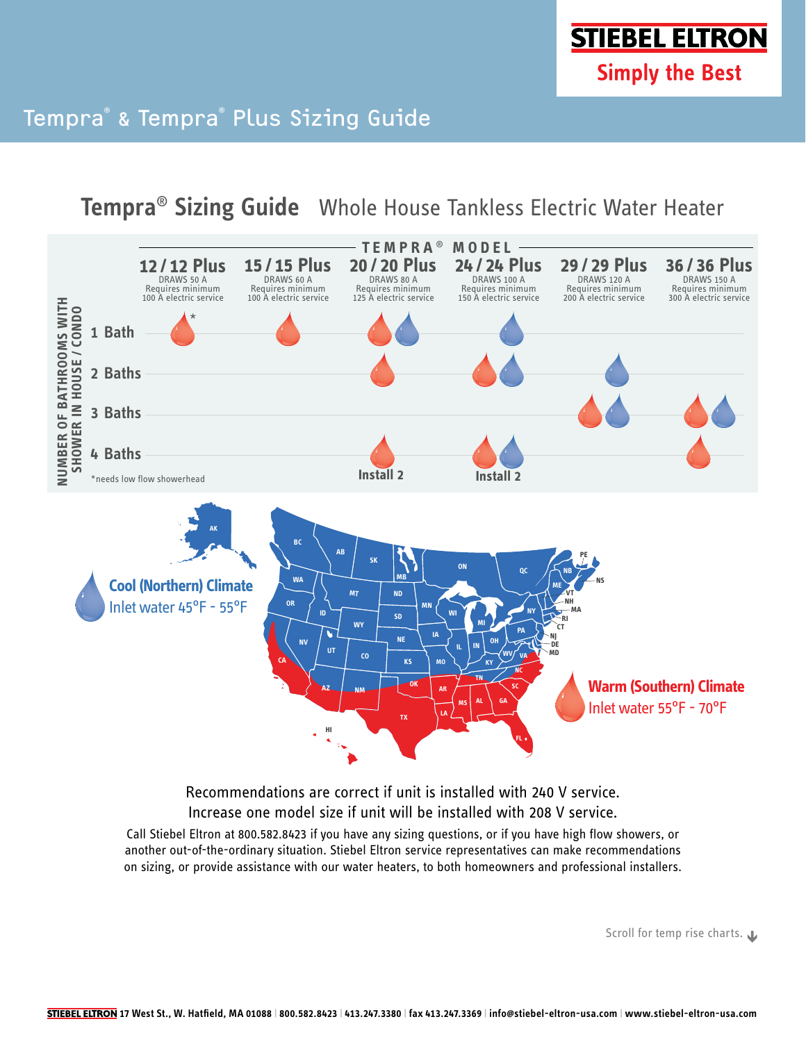**STIEBEL ELTRON Simply the Best** 

## Tempra® & Tempra® Plus Sizing Guide

**Tempra**® **Sizing Guide** Whole House Tankless Electric Water Heater



Recommendations are correct if unit is installed with 240 V service. Increase one model size if unit will be installed with 208 V service.

Call Stiebel Eltron at 800.582.8423 if you have any sizing questions, or if you have high flow showers, or another out-of-the-ordinary situation. Stiebel Eltron service representatives can make recommendations on sizing, or provide assistance with our water heaters, to both homeowners and professional installers.

Scroll for temp rise charts.